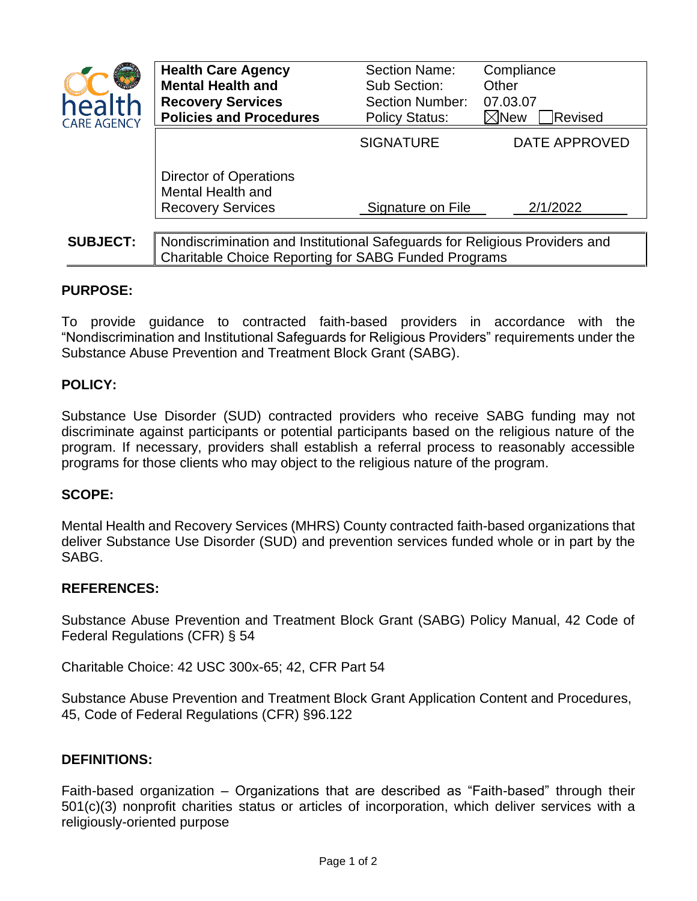

| <b>nealth</b><br><b>ARE AGENCY</b> | <b>Health Care Agency</b><br><b>Mental Health and</b><br><b>Recovery Services</b><br><b>Policies and Procedures</b> | <b>Section Name:</b><br>Sub Section:<br><b>Section Number:</b><br><b>Policy Status:</b> | Compliance<br>Other<br>07.03.07<br>Revised<br>$\boxtimes$ New |  |
|------------------------------------|---------------------------------------------------------------------------------------------------------------------|-----------------------------------------------------------------------------------------|---------------------------------------------------------------|--|
|                                    |                                                                                                                     | <b>SIGNATURE</b>                                                                        | <b>DATE APPROVED</b>                                          |  |
|                                    | Director of Operations<br>Mental Health and<br><b>Recovery Services</b>                                             | Signature on File                                                                       | 2/1/2022                                                      |  |
| <b>SUBJECT:</b>                    |                                                                                                                     | Nondiscrimination and Institutional Safeguards for Religious Providers and              |                                                               |  |
|                                    | Charitable Choice Reporting for SABG Funded Programs                                                                |                                                                                         |                                                               |  |

### **PURPOSE:**

To provide guidance to contracted faith-based providers in accordance with the "Nondiscrimination and Institutional Safeguards for Religious Providers" requirements under the Substance Abuse Prevention and Treatment Block Grant (SABG).

# **POLICY:**

Substance Use Disorder (SUD) contracted providers who receive SABG funding may not discriminate against participants or potential participants based on the religious nature of the program. If necessary, providers shall establish a referral process to reasonably accessible programs for those clients who may object to the religious nature of the program.

# **SCOPE:**

Mental Health and Recovery Services (MHRS) County contracted faith-based organizations that deliver Substance Use Disorder (SUD) and prevention services funded whole or in part by the SABG.

#### **REFERENCES:**

Substance Abuse Prevention and Treatment Block Grant (SABG) Policy Manual, 42 Code of Federal Regulations (CFR) § 54

Charitable Choice: 42 USC 300x-65; 42, CFR Part 54

Substance Abuse Prevention and Treatment Block Grant Application Content and Procedures, 45, Code of Federal Regulations (CFR) §96.122

### **DEFINITIONS:**

Faith-based organization – Organizations that are described as "Faith-based" through their 501(c)(3) nonprofit charities status or articles of incorporation, which deliver services with a religiously-oriented purpose